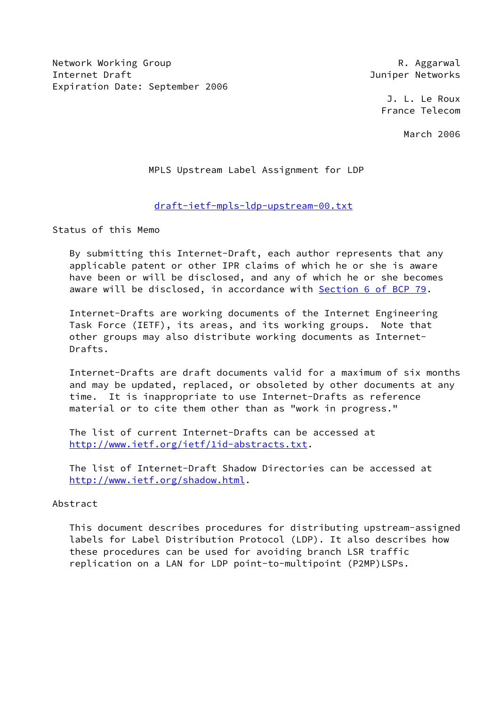Network Working Group **Reading Reading Community** R. Aggarwal Internet Draft **Graph** Communication of the Communication of the Communication of the Communication of the Communication of the Communication of the Communication of the Communication of the Communication of the Communicat Expiration Date: September 2006

 J. L. Le Roux France Telecom

March 2006

## MPLS Upstream Label Assignment for LDP

# [draft-ietf-mpls-ldp-upstream-00.txt](https://datatracker.ietf.org/doc/pdf/draft-ietf-mpls-ldp-upstream-00.txt)

Status of this Memo

 By submitting this Internet-Draft, each author represents that any applicable patent or other IPR claims of which he or she is aware have been or will be disclosed, and any of which he or she becomes aware will be disclosed, in accordance with Section [6 of BCP 79.](https://datatracker.ietf.org/doc/pdf/bcp79#section-6)

 Internet-Drafts are working documents of the Internet Engineering Task Force (IETF), its areas, and its working groups. Note that other groups may also distribute working documents as Internet- Drafts.

 Internet-Drafts are draft documents valid for a maximum of six months and may be updated, replaced, or obsoleted by other documents at any time. It is inappropriate to use Internet-Drafts as reference material or to cite them other than as "work in progress."

 The list of current Internet-Drafts can be accessed at <http://www.ietf.org/ietf/1id-abstracts.txt>.

 The list of Internet-Draft Shadow Directories can be accessed at <http://www.ietf.org/shadow.html>.

# Abstract

 This document describes procedures for distributing upstream-assigned labels for Label Distribution Protocol (LDP). It also describes how these procedures can be used for avoiding branch LSR traffic replication on a LAN for LDP point-to-multipoint (P2MP)LSPs.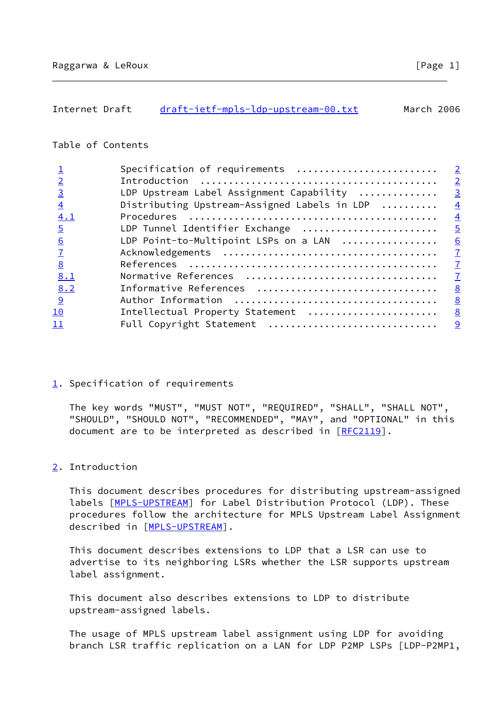<span id="page-1-1"></span>

| Internet Draft |  | draft-ietf-mpls-ldp-upstream-00.txt | March 2006 |  |
|----------------|--|-------------------------------------|------------|--|
|                |  |                                     |            |  |

# Table of Contents

|                | Specification of requirements                | $\overline{2}$ |
|----------------|----------------------------------------------|----------------|
|                |                                              | $\overline{2}$ |
| $\overline{3}$ | LDP Upstream Label Assignment Capability     | $\overline{3}$ |
| $\overline{4}$ | Distributing Upstream-Assigned Labels in LDP | $\frac{4}{3}$  |
| 4.1            |                                              | $\overline{4}$ |
| $\overline{5}$ | LDP Tunnel Identifier Exchange               | $\frac{5}{2}$  |
| 6              | LDP Point-to-Multipoint LSPs on a LAN        | 6              |
|                |                                              | $\mathbb{Z}$   |
| 8              |                                              | $\mathbb{Z}$   |
| 8.1            |                                              | $\mathbb{Z}$   |
| 8.2            | Informative References                       | 8              |
| <u>9</u>       |                                              | 8              |
| <u> 10</u>     | Intellectual Property Statement              | 8              |
| <u> 11</u>     | Full Copyright Statement                     | <u>୍ର</u>      |
|                |                                              |                |

#### <span id="page-1-0"></span> $\underline{1}$  $\underline{1}$  $\underline{1}$ . Specification of requirements

 The key words "MUST", "MUST NOT", "REQUIRED", "SHALL", "SHALL NOT", "SHOULD", "SHOULD NOT", "RECOMMENDED", "MAY", and "OPTIONAL" in this document are to be interpreted as described in [\[RFC2119](https://datatracker.ietf.org/doc/pdf/rfc2119)].

## <span id="page-1-2"></span>[2](#page-1-2). Introduction

 This document describes procedures for distributing upstream-assigned labels [\[MPLS-UPSTREAM](#page-7-4)] for Label Distribution Protocol (LDP). These procedures follow the architecture for MPLS Upstream Label Assignment described in [\[MPLS-UPSTREAM\]](#page-7-4).

 This document describes extensions to LDP that a LSR can use to advertise to its neighboring LSRs whether the LSR supports upstream label assignment.

 This document also describes extensions to LDP to distribute upstream-assigned labels.

 The usage of MPLS upstream label assignment using LDP for avoiding branch LSR traffic replication on a LAN for LDP P2MP LSPs [LDP-P2MP1,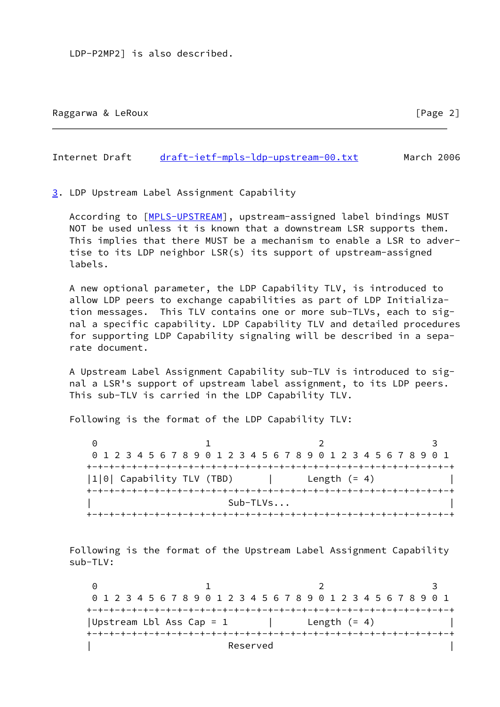<span id="page-2-1"></span>Internet Draft [draft-ietf-mpls-ldp-upstream-00.txt](https://datatracker.ietf.org/doc/pdf/draft-ietf-mpls-ldp-upstream-00.txt) March 2006

<span id="page-2-0"></span>[3](#page-2-0). LDP Upstream Label Assignment Capability

 According to [\[MPLS-UPSTREAM\]](#page-7-4), upstream-assigned label bindings MUST NOT be used unless it is known that a downstream LSR supports them. This implies that there MUST be a mechanism to enable a LSR to adver tise to its LDP neighbor LSR(s) its support of upstream-assigned labels.

 A new optional parameter, the LDP Capability TLV, is introduced to allow LDP peers to exchange capabilities as part of LDP Initializa tion messages. This TLV contains one or more sub-TLVs, each to sig nal a specific capability. LDP Capability TLV and detailed procedures for supporting LDP Capability signaling will be described in a sepa rate document.

 A Upstream Label Assignment Capability sub-TLV is introduced to sig nal a LSR's support of upstream label assignment, to its LDP peers. This sub-TLV is carried in the LDP Capability TLV.

Following is the format of the LDP Capability TLV:

0 1 2 3 0 1 2 3 4 5 6 7 8 9 0 1 2 3 4 5 6 7 8 9 0 1 2 3 4 5 6 7 8 9 0 1 +-+-+-+-+-+-+-+-+-+-+-+-+-+-+-+-+-+-+-+-+-+-+-+-+-+-+-+-+-+-+-+-+  $|1|0|$  Capability TLV (TBD)  $|$  Length (= 4) +-+-+-+-+-+-+-+-+-+-+-+-+-+-+-+-+-+-+-+-+-+-+-+-+-+-+-+-+-+-+-+-+ Sub-TLVs... +-+-+-+-+-+-+-+-+-+-+-+-+-+-+-+-+-+-+-+-+-+-+-+-+-+-+-+-+-+-+-+-+

 Following is the format of the Upstream Label Assignment Capability sub-TLV:

0 1 2 3 0 1 2 3 4 5 6 7 8 9 0 1 2 3 4 5 6 7 8 9 0 1 2 3 4 5 6 7 8 9 0 1 +-+-+-+-+-+-+-+-+-+-+-+-+-+-+-+-+-+-+-+-+-+-+-+-+-+-+-+-+-+-+-+-+ |Upstream Lbl Ass Cap =  $1$  | Length (= 4) +-+-+-+-+-+-+-+-+-+-+-+-+-+-+-+-+-+-+-+-+-+-+-+-+-+-+-+-+-+-+-+-+ | Reserved |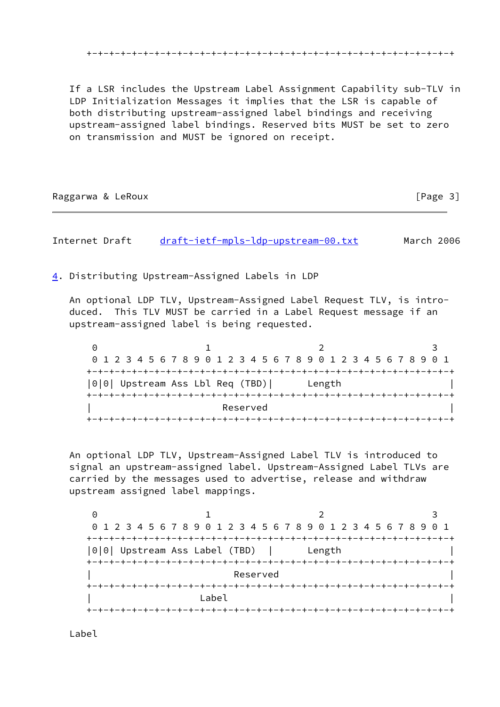If a LSR includes the Upstream Label Assignment Capability sub-TLV in LDP Initialization Messages it implies that the LSR is capable of both distributing upstream-assigned label bindings and receiving upstream-assigned label bindings. Reserved bits MUST be set to zero on transmission and MUST be ignored on receipt.

| Raggarwa & LeRoux | [Page 3] |
|-------------------|----------|
|                   |          |

<span id="page-3-1"></span>Internet Draft [draft-ietf-mpls-ldp-upstream-00.txt](https://datatracker.ietf.org/doc/pdf/draft-ietf-mpls-ldp-upstream-00.txt) March 2006

<span id="page-3-0"></span>[4](#page-3-0). Distributing Upstream-Assigned Labels in LDP

 An optional LDP TLV, Upstream-Assigned Label Request TLV, is intro duced. This TLV MUST be carried in a Label Request message if an upstream-assigned label is being requested.

| 0 1 2 3 4 5 6 7 8 9 0 1 2 3 4 5 6 7 8 9 0 1 2 3 4 5 6 7 8 9 0 1 |        |  |
|-----------------------------------------------------------------|--------|--|
|                                                                 |        |  |
| 0 0  Upstream Ass Lbl Req (TBD)                                 | Length |  |
|                                                                 |        |  |
| Reserved                                                        |        |  |
|                                                                 |        |  |

 An optional LDP TLV, Upstream-Assigned Label TLV is introduced to signal an upstream-assigned label. Upstream-Assigned Label TLVs are carried by the messages used to advertise, release and withdraw upstream assigned label mappings.

0 1 2 3 0 1 2 3 4 5 6 7 8 9 0 1 2 3 4 5 6 7 8 9 0 1 2 3 4 5 6 7 8 9 0 1 +-+-+-+-+-+-+-+-+-+-+-+-+-+-+-+-+-+-+-+-+-+-+-+-+-+-+-+-+-+-+-+-+ |0|0| Upstream Ass Label (TBD) | Length | +-+-+-+-+-+-+-+-+-+-+-+-+-+-+-+-+-+-+-+-+-+-+-+-+-+-+-+-+-+-+-+-+ | Reserved | +-+-+-+-+-+-+-+-+-+-+-+-+-+-+-+-+-+-+-+-+-+-+-+-+-+-+-+-+-+-+-+-+  $\vert$  and  $\vert$  are  $\vert$  and  $\vert$  are  $\vert$  and  $\vert$  are  $\vert$  and  $\vert$  are  $\vert$  and  $\vert$  are  $\vert$  and  $\vert$  are  $\vert$  and  $\vert$  and  $\vert$  and  $\vert$  and  $\vert$  and  $\vert$  and  $\vert$  and  $\vert$  and  $\vert$  and  $\vert$  and  $\vert$  and  $\vert$  and  $\vert$  +-+-+-+-+-+-+-+-+-+-+-+-+-+-+-+-+-+-+-+-+-+-+-+-+-+-+-+-+-+-+-+-+

Label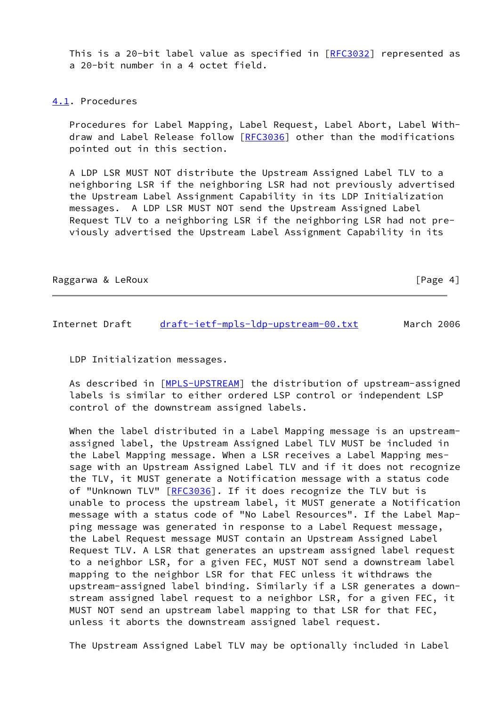This is a 20-bit label value as specified in [\[RFC3032](https://datatracker.ietf.org/doc/pdf/rfc3032)] represented as a 20-bit number in a 4 octet field.

#### <span id="page-4-0"></span>[4.1](#page-4-0). Procedures

 Procedures for Label Mapping, Label Request, Label Abort, Label With draw and Label Release follow [[RFC3036](https://datatracker.ietf.org/doc/pdf/rfc3036)] other than the modifications pointed out in this section.

 A LDP LSR MUST NOT distribute the Upstream Assigned Label TLV to a neighboring LSR if the neighboring LSR had not previously advertised the Upstream Label Assignment Capability in its LDP Initialization messages. A LDP LSR MUST NOT send the Upstream Assigned Label Request TLV to a neighboring LSR if the neighboring LSR had not pre viously advertised the Upstream Label Assignment Capability in its

| Raggarwa & LeRoux |  |  |
|-------------------|--|--|
|-------------------|--|--|

 $\lceil \text{Page 4} \rceil$ 

<span id="page-4-1"></span>Internet Draft [draft-ietf-mpls-ldp-upstream-00.txt](https://datatracker.ietf.org/doc/pdf/draft-ietf-mpls-ldp-upstream-00.txt) March 2006

LDP Initialization messages.

As described in [\[MPLS-UPSTREAM](#page-7-4)] the distribution of upstream-assigned labels is similar to either ordered LSP control or independent LSP control of the downstream assigned labels.

When the label distributed in a Label Mapping message is an upstream assigned label, the Upstream Assigned Label TLV MUST be included in the Label Mapping message. When a LSR receives a Label Mapping mes sage with an Upstream Assigned Label TLV and if it does not recognize the TLV, it MUST generate a Notification message with a status code of "Unknown TLV" [\[RFC3036](https://datatracker.ietf.org/doc/pdf/rfc3036)]. If it does recognize the TLV but is unable to process the upstream label, it MUST generate a Notification message with a status code of "No Label Resources". If the Label Map ping message was generated in response to a Label Request message, the Label Request message MUST contain an Upstream Assigned Label Request TLV. A LSR that generates an upstream assigned label request to a neighbor LSR, for a given FEC, MUST NOT send a downstream label mapping to the neighbor LSR for that FEC unless it withdraws the upstream-assigned label binding. Similarly if a LSR generates a down stream assigned label request to a neighbor LSR, for a given FEC, it MUST NOT send an upstream label mapping to that LSR for that FEC, unless it aborts the downstream assigned label request.

The Upstream Assigned Label TLV may be optionally included in Label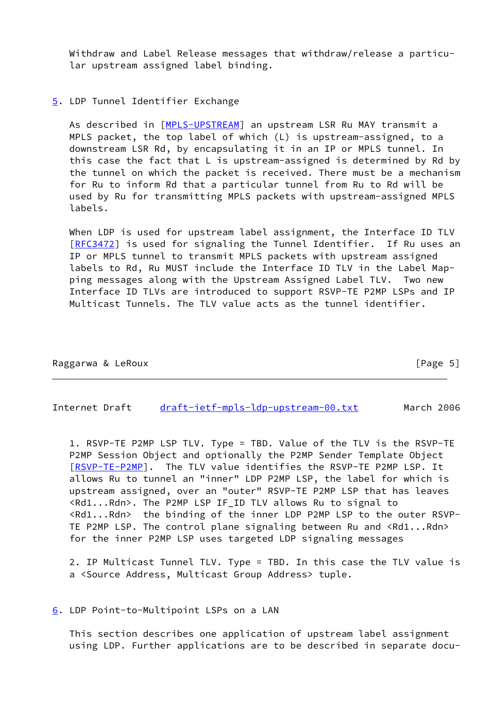Withdraw and Label Release messages that withdraw/release a particu lar upstream assigned label binding.

#### <span id="page-5-0"></span>[5](#page-5-0). LDP Tunnel Identifier Exchange

 As described in [\[MPLS-UPSTREAM](#page-7-4)] an upstream LSR Ru MAY transmit a MPLS packet, the top label of which (L) is upstream-assigned, to a downstream LSR Rd, by encapsulating it in an IP or MPLS tunnel. In this case the fact that L is upstream-assigned is determined by Rd by the tunnel on which the packet is received. There must be a mechanism for Ru to inform Rd that a particular tunnel from Ru to Rd will be used by Ru for transmitting MPLS packets with upstream-assigned MPLS labels.

 When LDP is used for upstream label assignment, the Interface ID TLV [\[RFC3472](https://datatracker.ietf.org/doc/pdf/rfc3472)] is used for signaling the Tunnel Identifier. If Ru uses an IP or MPLS tunnel to transmit MPLS packets with upstream assigned labels to Rd, Ru MUST include the Interface ID TLV in the Label Map ping messages along with the Upstream Assigned Label TLV. Two new Interface ID TLVs are introduced to support RSVP-TE P2MP LSPs and IP Multicast Tunnels. The TLV value acts as the tunnel identifier.

| Raggarwa & LeRoux | [Page 5] |
|-------------------|----------|
|-------------------|----------|

<span id="page-5-2"></span>Internet Draft [draft-ietf-mpls-ldp-upstream-00.txt](https://datatracker.ietf.org/doc/pdf/draft-ietf-mpls-ldp-upstream-00.txt) March 2006

 1. RSVP-TE P2MP LSP TLV. Type = TBD. Value of the TLV is the RSVP-TE P2MP Session Object and optionally the P2MP Sender Template Object [\[RSVP-TE-P2MP](#page-8-3)]. The TLV value identifies the RSVP-TE P2MP LSP. It allows Ru to tunnel an "inner" LDP P2MP LSP, the label for which is upstream assigned, over an "outer" RSVP-TE P2MP LSP that has leaves <Rd1...Rdn>. The P2MP LSP IF\_ID TLV allows Ru to signal to <Rd1...Rdn> the binding of the inner LDP P2MP LSP to the outer RSVP- TE P2MP LSP. The control plane signaling between Ru and <Rd1...Rdn> for the inner P2MP LSP uses targeted LDP signaling messages

 2. IP Multicast Tunnel TLV. Type = TBD. In this case the TLV value is a <Source Address, Multicast Group Address> tuple.

<span id="page-5-1"></span>[6](#page-5-1). LDP Point-to-Multipoint LSPs on a LAN

 This section describes one application of upstream label assignment using LDP. Further applications are to be described in separate docu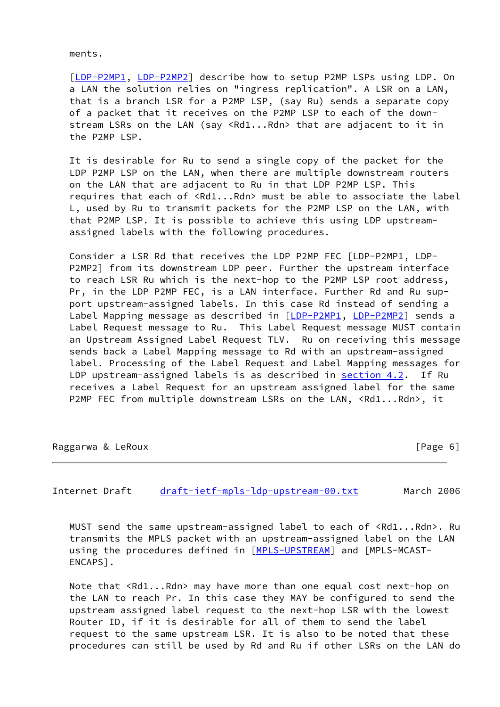ments.

 [\[LDP-P2MP1](#page-8-4), [LDP-P2MP2\]](#page-8-5) describe how to setup P2MP LSPs using LDP. On a LAN the solution relies on "ingress replication". A LSR on a LAN, that is a branch LSR for a P2MP LSP, (say Ru) sends a separate copy of a packet that it receives on the P2MP LSP to each of the down stream LSRs on the LAN (say <Rd1...Rdn> that are adjacent to it in the P2MP LSP.

 It is desirable for Ru to send a single copy of the packet for the LDP P2MP LSP on the LAN, when there are multiple downstream routers on the LAN that are adjacent to Ru in that LDP P2MP LSP. This requires that each of <Rd1...Rdn> must be able to associate the label L, used by Ru to transmit packets for the P2MP LSP on the LAN, with that P2MP LSP. It is possible to achieve this using LDP upstream assigned labels with the following procedures.

 Consider a LSR Rd that receives the LDP P2MP FEC [LDP-P2MP1, LDP- P2MP2] from its downstream LDP peer. Further the upstream interface to reach LSR Ru which is the next-hop to the P2MP LSP root address, Pr, in the LDP P2MP FEC, is a LAN interface. Further Rd and Ru sup port upstream-assigned labels. In this case Rd instead of sending a Label Mapping message as described in [[LDP-P2MP1,](#page-8-4) [LDP-P2MP2\]](#page-8-5) sends a Label Request message to Ru. This Label Request message MUST contain an Upstream Assigned Label Request TLV. Ru on receiving this message sends back a Label Mapping message to Rd with an upstream-assigned label. Processing of the Label Request and Label Mapping messages for LDP upstream-assigned labels is as described in **section 4.2.** If Ru receives a Label Request for an upstream assigned label for the same P2MP FEC from multiple downstream LSRs on the LAN, <Rd1...Rdn>, it

Raggarwa & LeRoux and the contract of the contract of the contract of the contract of  $\lceil \text{Page 6} \rceil \rceil$ 

<span id="page-6-0"></span>Internet Draft [draft-ietf-mpls-ldp-upstream-00.txt](https://datatracker.ietf.org/doc/pdf/draft-ietf-mpls-ldp-upstream-00.txt) March 2006

 MUST send the same upstream-assigned label to each of <Rd1...Rdn>. Ru transmits the MPLS packet with an upstream-assigned label on the LAN using the procedures defined in [\[MPLS-UPSTREAM](#page-7-4)] and [MPLS-MCAST- ENCAPS].

Note that <Rd1...Rdn> may have more than one equal cost next-hop on the LAN to reach Pr. In this case they MAY be configured to send the upstream assigned label request to the next-hop LSR with the lowest Router ID, if it is desirable for all of them to send the label request to the same upstream LSR. It is also to be noted that these procedures can still be used by Rd and Ru if other LSRs on the LAN do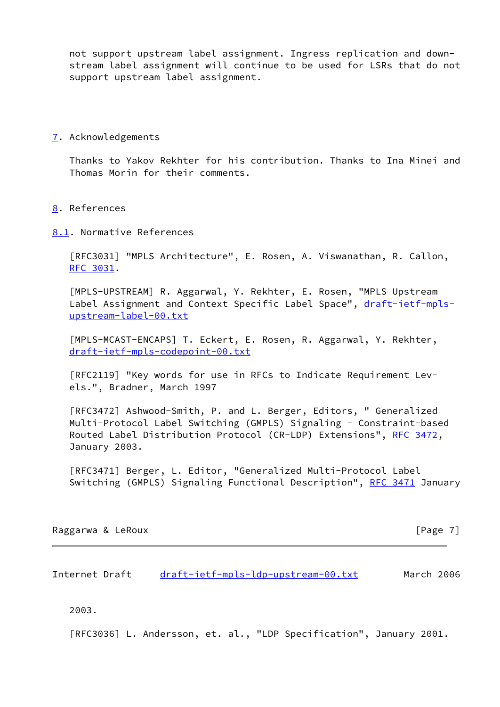not support upstream label assignment. Ingress replication and down stream label assignment will continue to be used for LSRs that do not support upstream label assignment.

#### <span id="page-7-0"></span>[7](#page-7-0). Acknowledgements

 Thanks to Yakov Rekhter for his contribution. Thanks to Ina Minei and Thomas Morin for their comments.

#### <span id="page-7-1"></span>[8](#page-7-1). References

<span id="page-7-2"></span>[8.1](#page-7-2). Normative References

 [RFC3031] "MPLS Architecture", E. Rosen, A. Viswanathan, R. Callon, [RFC 3031](https://datatracker.ietf.org/doc/pdf/rfc3031).

<span id="page-7-4"></span> [MPLS-UPSTREAM] R. Aggarwal, Y. Rekhter, E. Rosen, "MPLS Upstream Label Assignment and Context Specific Label Space", [draft-ietf-mpls](https://datatracker.ietf.org/doc/pdf/draft-ietf-mpls-upstream-label-00.txt) [upstream-label-00.txt](https://datatracker.ietf.org/doc/pdf/draft-ietf-mpls-upstream-label-00.txt)

 [MPLS-MCAST-ENCAPS] T. Eckert, E. Rosen, R. Aggarwal, Y. Rekhter, [draft-ietf-mpls-codepoint-00.txt](https://datatracker.ietf.org/doc/pdf/draft-ietf-mpls-codepoint-00.txt)

 [RFC2119] "Key words for use in RFCs to Indicate Requirement Lev els.", Bradner, March 1997

 [RFC3472] Ashwood-Smith, P. and L. Berger, Editors, " Generalized Multi-Protocol Label Switching (GMPLS) Signaling - Constraint-based Routed Label Distribution Protocol (CR-LDP) Extensions", [RFC 3472](https://datatracker.ietf.org/doc/pdf/rfc3472), January 2003.

 [RFC3471] Berger, L. Editor, "Generalized Multi-Protocol Label Switching (GMPLS) Signaling Functional Description", [RFC 3471](https://datatracker.ietf.org/doc/pdf/rfc3471) January

| Raggarwa & LeRoux |  |  |
|-------------------|--|--|
|-------------------|--|--|

 $[Page 7]$ 

<span id="page-7-3"></span>Internet Draft [draft-ietf-mpls-ldp-upstream-00.txt](https://datatracker.ietf.org/doc/pdf/draft-ietf-mpls-ldp-upstream-00.txt) March 2006

2003.

[RFC3036] L. Andersson, et. al., "LDP Specification", January 2001.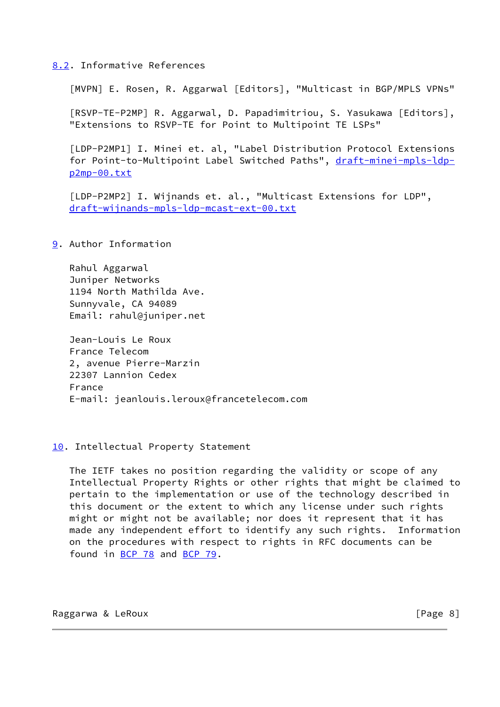# <span id="page-8-0"></span>[8.2](#page-8-0). Informative References

[MVPN] E. Rosen, R. Aggarwal [Editors], "Multicast in BGP/MPLS VPNs"

<span id="page-8-3"></span> [RSVP-TE-P2MP] R. Aggarwal, D. Papadimitriou, S. Yasukawa [Editors], "Extensions to RSVP-TE for Point to Multipoint TE LSPs"

<span id="page-8-4"></span> [LDP-P2MP1] I. Minei et. al, "Label Distribution Protocol Extensions for Point-to-Multipoint Label Switched Paths", [draft-minei-mpls-ldp](https://datatracker.ietf.org/doc/pdf/draft-minei-mpls-ldp-p2mp-00.txt) [p2mp-00.txt](https://datatracker.ietf.org/doc/pdf/draft-minei-mpls-ldp-p2mp-00.txt)

<span id="page-8-5"></span> [LDP-P2MP2] I. Wijnands et. al., "Multicast Extensions for LDP", [draft-wijnands-mpls-ldp-mcast-ext-00.txt](https://datatracker.ietf.org/doc/pdf/draft-wijnands-mpls-ldp-mcast-ext-00.txt)

# <span id="page-8-1"></span>[9](#page-8-1). Author Information

 Rahul Aggarwal Juniper Networks 1194 North Mathilda Ave. Sunnyvale, CA 94089 Email: rahul@juniper.net

 Jean-Louis Le Roux France Telecom 2, avenue Pierre-Marzin 22307 Lannion Cedex France E-mail: jeanlouis.leroux@francetelecom.com

# <span id="page-8-2"></span>[10.](#page-8-2) Intellectual Property Statement

 The IETF takes no position regarding the validity or scope of any Intellectual Property Rights or other rights that might be claimed to pertain to the implementation or use of the technology described in this document or the extent to which any license under such rights might or might not be available; nor does it represent that it has made any independent effort to identify any such rights. Information on the procedures with respect to rights in RFC documents can be found in [BCP 78](https://datatracker.ietf.org/doc/pdf/bcp78) and [BCP 79](https://datatracker.ietf.org/doc/pdf/bcp79).

## Raggarwa & LeRoux and the contract of the contract of the contract of the contract of the contract of the contract of the contract of the contract of the contract of the contract of the contract of the contract of the cont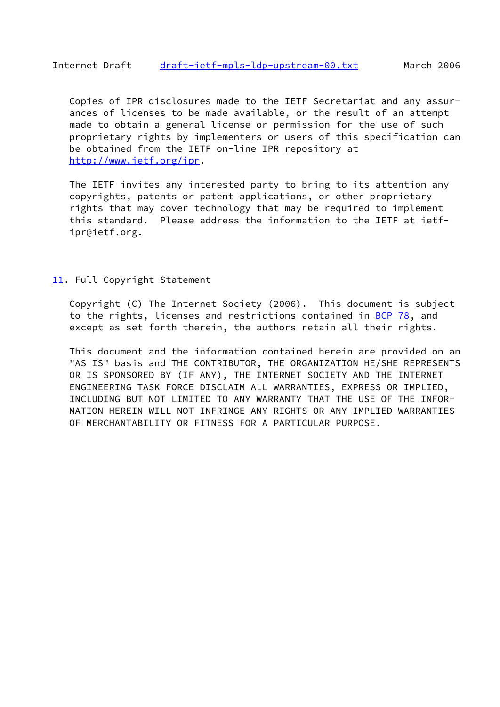<span id="page-9-1"></span> Copies of IPR disclosures made to the IETF Secretariat and any assur ances of licenses to be made available, or the result of an attempt made to obtain a general license or permission for the use of such proprietary rights by implementers or users of this specification can be obtained from the IETF on-line IPR repository at <http://www.ietf.org/ipr>.

 The IETF invites any interested party to bring to its attention any copyrights, patents or patent applications, or other proprietary rights that may cover technology that may be required to implement this standard. Please address the information to the IETF at ietf ipr@ietf.org.

#### <span id="page-9-0"></span>[11.](#page-9-0) Full Copyright Statement

 Copyright (C) The Internet Society (2006). This document is subject to the rights, licenses and restrictions contained in [BCP 78](https://datatracker.ietf.org/doc/pdf/bcp78), and except as set forth therein, the authors retain all their rights.

 This document and the information contained herein are provided on an "AS IS" basis and THE CONTRIBUTOR, THE ORGANIZATION HE/SHE REPRESENTS OR IS SPONSORED BY (IF ANY), THE INTERNET SOCIETY AND THE INTERNET ENGINEERING TASK FORCE DISCLAIM ALL WARRANTIES, EXPRESS OR IMPLIED, INCLUDING BUT NOT LIMITED TO ANY WARRANTY THAT THE USE OF THE INFOR- MATION HEREIN WILL NOT INFRINGE ANY RIGHTS OR ANY IMPLIED WARRANTIES OF MERCHANTABILITY OR FITNESS FOR A PARTICULAR PURPOSE.